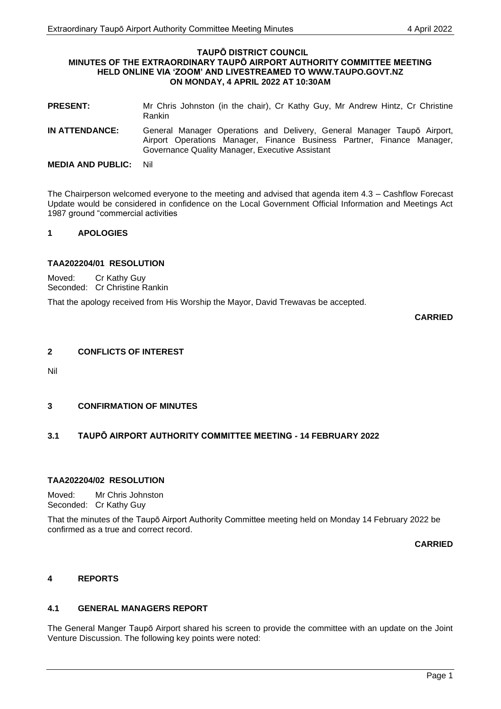#### **TAUPŌ DISTRICT COUNCIL MINUTES OF THE EXTRAORDINARY TAUPŌ AIRPORT AUTHORITY COMMITTEE MEETING HELD ONLINE VIA 'ZOOM' AND LIVESTREAMED TO WWW.TAUPO.GOVT.NZ ON MONDAY, 4 APRIL 2022 AT 10:30AM**

- **PRESENT:** Mr Chris Johnston (in the chair), Cr Kathy Guy, Mr Andrew Hintz, Cr Christine Rankin
- **IN ATTENDANCE:** General Manager Operations and Delivery, General Manager Taupō Airport, Airport Operations Manager, Finance Business Partner, Finance Manager, Governance Quality Manager, Executive Assistant

The Chairperson welcomed everyone to the meeting and advised that agenda item 4.3 – Cashflow Forecast Update would be considered in confidence on the Local Government Official Information and Meetings Act 1987 ground "commercial activities

# **1 APOLOGIES**

# **TAA202204/01 RESOLUTION**

Moved: Cr Kathy Guy Seconded: Cr Christine Rankin

That the apology received from His Worship the Mayor, David Trewavas be accepted.

**CARRIED**

### **2 CONFLICTS OF INTEREST**

Nil

# **3 CONFIRMATION OF MINUTES**

# **3.1 TAUPŌ AIRPORT AUTHORITY COMMITTEE MEETING - 14 FEBRUARY 2022**

# **TAA202204/02 RESOLUTION**

Moved: Mr Chris Johnston Seconded: Cr Kathy Guy

That the minutes of the Taupō Airport Authority Committee meeting held on Monday 14 February 2022 be confirmed as a true and correct record.

**CARRIED**

#### **4 REPORTS**

#### **4.1 GENERAL MANAGERS REPORT**

The General Manger Taupō Airport shared his screen to provide the committee with an update on the Joint Venture Discussion. The following key points were noted:

**MEDIA AND PUBLIC:** Nil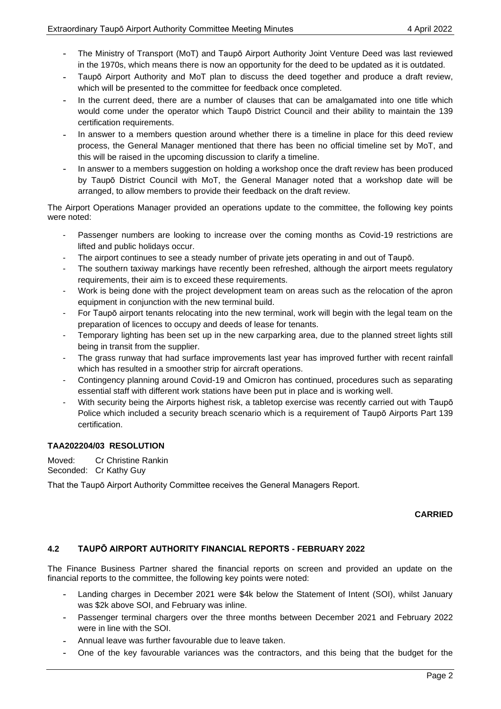- The Ministry of Transport (MoT) and Taupō Airport Authority Joint Venture Deed was last reviewed in the 1970s, which means there is now an opportunity for the deed to be updated as it is outdated.
- Taupō Airport Authority and MoT plan to discuss the deed together and produce a draft review, which will be presented to the committee for feedback once completed.
- In the current deed, there are a number of clauses that can be amalgamated into one title which would come under the operator which Taupō District Council and their ability to maintain the 139 certification requirements.
- In answer to a members question around whether there is a timeline in place for this deed review process, the General Manager mentioned that there has been no official timeline set by MoT, and this will be raised in the upcoming discussion to clarify a timeline.
- In answer to a members suggestion on holding a workshop once the draft review has been produced by Taupō District Council with MoT, the General Manager noted that a workshop date will be arranged, to allow members to provide their feedback on the draft review.

The Airport Operations Manager provided an operations update to the committee, the following key points were noted:

- Passenger numbers are looking to increase over the coming months as Covid-19 restrictions are lifted and public holidays occur.
- The airport continues to see a steady number of private jets operating in and out of Taupō.
- The southern taxiway markings have recently been refreshed, although the airport meets regulatory requirements, their aim is to exceed these requirements.
- Work is being done with the project development team on areas such as the relocation of the apron equipment in conjunction with the new terminal build.
- For Taupō airport tenants relocating into the new terminal, work will begin with the legal team on the preparation of licences to occupy and deeds of lease for tenants.
- Temporary lighting has been set up in the new carparking area, due to the planned street lights still being in transit from the supplier.
- The grass runway that had surface improvements last year has improved further with recent rainfall which has resulted in a smoother strip for aircraft operations.
- Contingency planning around Covid-19 and Omicron has continued, procedures such as separating essential staff with different work stations have been put in place and is working well.
- With security being the Airports highest risk, a tabletop exercise was recently carried out with Taupō Police which included a security breach scenario which is a requirement of Taupō Airports Part 139 certification.

# **TAA202204/03 RESOLUTION**

Moved: Cr Christine Rankin Seconded: Cr Kathy Guy

That the Taupō Airport Authority Committee receives the General Managers Report.

#### **CARRIED**

# **4.2 TAUPŌ AIRPORT AUTHORITY FINANCIAL REPORTS - FEBRUARY 2022**

The Finance Business Partner shared the financial reports on screen and provided an update on the financial reports to the committee, the following key points were noted:

- Landing charges in December 2021 were \$4k below the Statement of Intent (SOI), whilst January was \$2k above SOI, and February was inline.
- Passenger terminal chargers over the three months between December 2021 and February 2022 were in line with the SOI.
- Annual leave was further favourable due to leave taken.
- One of the key favourable variances was the contractors, and this being that the budget for the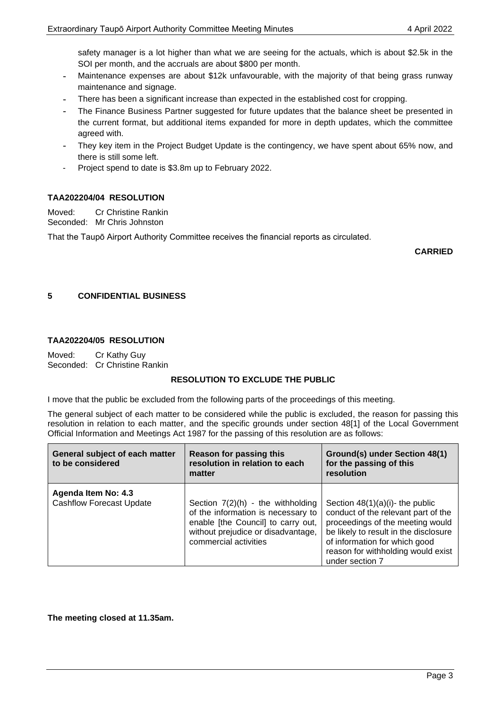safety manager is a lot higher than what we are seeing for the actuals, which is about \$2.5k in the SOI per month, and the accruals are about \$800 per month.

- Maintenance expenses are about \$12k unfavourable, with the majority of that being grass runway maintenance and signage.
- There has been a significant increase than expected in the established cost for cropping.
- The Finance Business Partner suggested for future updates that the balance sheet be presented in the current format, but additional items expanded for more in depth updates, which the committee agreed with.
- They key item in the Project Budget Update is the contingency, we have spent about 65% now, and there is still some left.
- Project spend to date is \$3.8m up to February 2022.

### **TAA202204/04 RESOLUTION**

Moved: Cr Christine Rankin Seconded: Mr Chris Johnston

That the Taupō Airport Authority Committee receives the financial reports as circulated.

**CARRIED**

### **5 CONFIDENTIAL BUSINESS**

#### **TAA202204/05 RESOLUTION**

Moved: Cr Kathy Guy Seconded: Cr Christine Rankin

#### **RESOLUTION TO EXCLUDE THE PUBLIC**

I move that the public be excluded from the following parts of the proceedings of this meeting.

The general subject of each matter to be considered while the public is excluded, the reason for passing this resolution in relation to each matter, and the specific grounds under section 48[1] of the Local Government Official Information and Meetings Act 1987 for the passing of this resolution are as follows:

| General subject of each matter<br>to be considered     | Reason for passing this<br>resolution in relation to each<br>matter                                                                                                            | Ground(s) under Section 48(1)<br>for the passing of this<br>resolution                                                                                                                                                                           |
|--------------------------------------------------------|--------------------------------------------------------------------------------------------------------------------------------------------------------------------------------|--------------------------------------------------------------------------------------------------------------------------------------------------------------------------------------------------------------------------------------------------|
| Agenda Item No: 4.3<br><b>Cashflow Forecast Update</b> | Section $7(2)(h)$ - the withholding<br>of the information is necessary to<br>enable [the Council] to carry out,<br>without prejudice or disadvantage,<br>commercial activities | Section $48(1)(a)(i)$ - the public<br>conduct of the relevant part of the<br>proceedings of the meeting would<br>be likely to result in the disclosure<br>of information for which good<br>reason for withholding would exist<br>under section 7 |

#### **The meeting closed at 11.35am.**